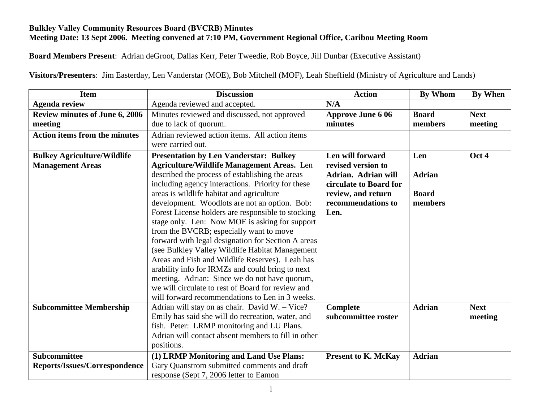## **Bulkley Valley Community Resources Board (BVCRB) Minutes Meeting Date: 13 Sept 2006. Meeting convened at 7:10 PM, Government Regional Office, Caribou Meeting Room**

**Board Members Present**: Adrian deGroot, Dallas Kerr, Peter Tweedie, Rob Boyce, Jill Dunbar (Executive Assistant)

**Visitors/Presenters**: Jim Easterday, Len Vanderstar (MOE), Bob Mitchell (MOF), Leah Sheffield (Ministry of Agriculture and Lands)

| <b>Item</b>                           | <b>Discussion</b>                                                                                     | <b>Action</b>              | <b>By Whom</b> | <b>By When</b> |
|---------------------------------------|-------------------------------------------------------------------------------------------------------|----------------------------|----------------|----------------|
| <b>Agenda review</b>                  | Agenda reviewed and accepted.                                                                         | N/A                        |                |                |
| <b>Review minutes of June 6, 2006</b> | Minutes reviewed and discussed, not approved                                                          | <b>Approve June 6 06</b>   | <b>Board</b>   | <b>Next</b>    |
| meeting                               | due to lack of quorum.                                                                                | minutes                    | members        | meeting        |
| <b>Action items from the minutes</b>  | Adrian reviewed action items. All action items                                                        |                            |                |                |
|                                       | were carried out.                                                                                     |                            |                |                |
| <b>Bulkey Agriculture/Wildlife</b>    | <b>Presentation by Len Vanderstar: Bulkey</b>                                                         | Len will forward           | Len            | Oct 4          |
| <b>Management Areas</b>               | <b>Agriculture/Wildlife Management Areas.</b> Len                                                     | revised version to         |                |                |
|                                       | described the process of establishing the areas                                                       | <b>Adrian. Adrian will</b> | <b>Adrian</b>  |                |
|                                       | including agency interactions. Priority for these                                                     | circulate to Board for     |                |                |
|                                       | areas is wildlife habitat and agriculture                                                             | review, and return         | <b>Board</b>   |                |
|                                       | development. Woodlots are not an option. Bob:                                                         | recommendations to         | members        |                |
|                                       | Forest License holders are responsible to stocking                                                    | Len.                       |                |                |
|                                       | stage only. Len: Now MOE is asking for support                                                        |                            |                |                |
|                                       | from the BVCRB; especially want to move                                                               |                            |                |                |
|                                       | forward with legal designation for Section A areas<br>(see Bulkley Valley Wildlife Habitat Management |                            |                |                |
|                                       | Areas and Fish and Wildlife Reserves). Leah has                                                       |                            |                |                |
|                                       | arability info for IRMZs and could bring to next                                                      |                            |                |                |
|                                       | meeting. Adrian: Since we do not have quorum,                                                         |                            |                |                |
|                                       | we will circulate to rest of Board for review and                                                     |                            |                |                |
|                                       | will forward recommendations to Len in 3 weeks.                                                       |                            |                |                |
| <b>Subcommittee Membership</b>        | Adrian will stay on as chair. David W. - Vice?                                                        | Complete                   | <b>Adrian</b>  | <b>Next</b>    |
|                                       | Emily has said she will do recreation, water, and                                                     | subcommittee roster        |                | meeting        |
|                                       | fish. Peter: LRMP monitoring and LU Plans.                                                            |                            |                |                |
|                                       | Adrian will contact absent members to fill in other                                                   |                            |                |                |
|                                       | positions.                                                                                            |                            |                |                |
| <b>Subcommittee</b>                   | (1) LRMP Monitoring and Land Use Plans:                                                               | <b>Present to K. McKay</b> | <b>Adrian</b>  |                |
| Reports/Issues/Correspondence         | Gary Quanstrom submitted comments and draft                                                           |                            |                |                |
|                                       | response (Sept 7, 2006 letter to Eamon                                                                |                            |                |                |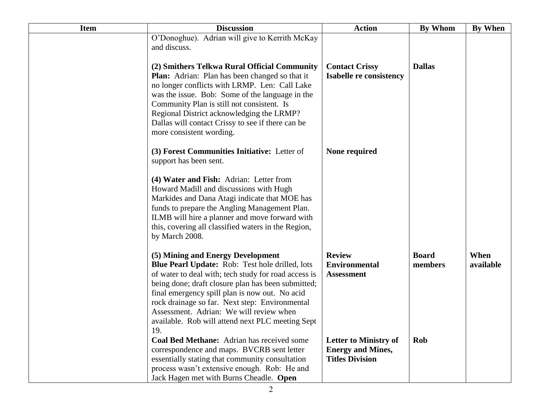| <b>Item</b> | <b>Discussion</b>                                                                                                                                                                                                                                                                                                                                                                                            | <b>Action</b>                                                                      | <b>By Whom</b>          | By When           |
|-------------|--------------------------------------------------------------------------------------------------------------------------------------------------------------------------------------------------------------------------------------------------------------------------------------------------------------------------------------------------------------------------------------------------------------|------------------------------------------------------------------------------------|-------------------------|-------------------|
|             | O'Donoghue). Adrian will give to Kerrith McKay<br>and discuss.                                                                                                                                                                                                                                                                                                                                               |                                                                                    |                         |                   |
|             | (2) Smithers Telkwa Rural Official Community<br><b>Plan:</b> Adrian: Plan has been changed so that it<br>no longer conflicts with LRMP. Len: Call Lake<br>was the issue. Bob: Some of the language in the<br>Community Plan is still not consistent. Is<br>Regional District acknowledging the LRMP?<br>Dallas will contact Crissy to see if there can be<br>more consistent wording.                        | <b>Contact Crissy</b><br><b>Isabelle re consistency</b>                            | <b>Dallas</b>           |                   |
|             | (3) Forest Communities Initiative: Letter of<br>support has been sent.                                                                                                                                                                                                                                                                                                                                       | None required                                                                      |                         |                   |
|             | (4) Water and Fish: Adrian: Letter from<br>Howard Madill and discussions with Hugh<br>Markides and Dana Atagi indicate that MOE has<br>funds to prepare the Angling Management Plan.<br>ILMB will hire a planner and move forward with<br>this, covering all classified waters in the Region,<br>by March 2008.                                                                                              |                                                                                    |                         |                   |
|             | (5) Mining and Energy Development<br>Blue Pearl Update: Rob: Test hole drilled, lots<br>of water to deal with; tech study for road access is<br>being done; draft closure plan has been submitted;<br>final emergency spill plan is now out. No acid<br>rock drainage so far. Next step: Environmental<br>Assessment. Adrian: We will review when<br>available. Rob will attend next PLC meeting Sept<br>19. | <b>Review</b><br><b>Environmental</b><br><b>Assessment</b>                         | <b>Board</b><br>members | When<br>available |
|             | Coal Bed Methane: Adrian has received some<br>correspondence and maps. BVCRB sent letter<br>essentially stating that community consultation<br>process wasn't extensive enough. Rob: He and<br>Jack Hagen met with Burns Cheadle. Open                                                                                                                                                                       | <b>Letter to Ministry of</b><br><b>Energy and Mines,</b><br><b>Titles Division</b> | Rob                     |                   |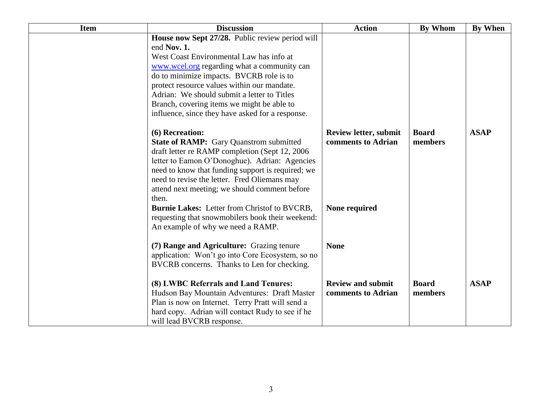| <b>Item</b> | <b>Discussion</b>                                                                                                                                                                                                                                                                                                                                                                                     | <b>Action</b>                                      | <b>By Whom</b>          | <b>By When</b> |
|-------------|-------------------------------------------------------------------------------------------------------------------------------------------------------------------------------------------------------------------------------------------------------------------------------------------------------------------------------------------------------------------------------------------------------|----------------------------------------------------|-------------------------|----------------|
|             | House now Sept 27/28. Public review period will<br>end Nov. 1.<br>West Coast Environmental Law has info at<br>www.wcel.org regarding what a community can<br>do to minimize impacts. BVCRB role is to<br>protect resource values within our mandate.<br>Adrian: We should submit a letter to Titles<br>Branch, covering items we might be able to<br>influence, since they have asked for a response. |                                                    |                         |                |
|             | (6) Recreation:<br>State of RAMP: Gary Quanstrom submitted<br>draft letter re RAMP completion (Sept 12, 2006)<br>letter to Eamon O'Donoghue). Adrian: Agencies<br>need to know that funding support is required; we<br>need to revise the letter. Fred Oliemans may<br>attend next meeting; we should comment before<br>then.                                                                         | <b>Review letter, submit</b><br>comments to Adrian | <b>Board</b><br>members | <b>ASAP</b>    |
|             | Burnie Lakes: Letter from Christof to BVCRB,<br>requesting that snowmobilers book their weekend:<br>An example of why we need a RAMP.                                                                                                                                                                                                                                                                 | None required                                      |                         |                |
|             | (7) Range and Agriculture: Grazing tenure<br>application: Won't go into Core Ecosystem, so no<br>BVCRB concerns. Thanks to Len for checking.                                                                                                                                                                                                                                                          | <b>None</b>                                        |                         |                |
|             | (8) LWBC Referrals and Land Tenures:<br>Hudson Bay Mountain Adventures: Draft Master<br>Plan is now on Internet. Terry Pratt will send a<br>hard copy. Adrian will contact Rudy to see if he<br>will lead BVCRB response.                                                                                                                                                                             | <b>Review and submit</b><br>comments to Adrian     | <b>Board</b><br>members | <b>ASAP</b>    |